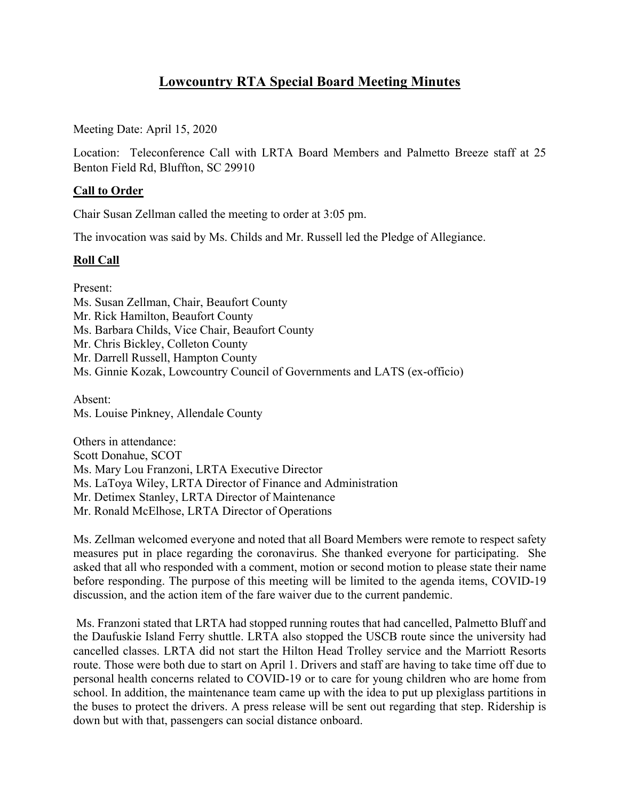# **Lowcountry RTA Special Board Meeting Minutes**

Meeting Date: April 15, 2020

Location: Teleconference Call with LRTA Board Members and Palmetto Breeze staff at 25 Benton Field Rd, Bluffton, SC 29910

## **Call to Order**

Chair Susan Zellman called the meeting to order at 3:05 pm.

The invocation was said by Ms. Childs and Mr. Russell led the Pledge of Allegiance.

#### **Roll Call**

Present:

Ms. Susan Zellman, Chair, Beaufort County Mr. Rick Hamilton, Beaufort County Ms. Barbara Childs, Vice Chair, Beaufort County Mr. Chris Bickley, Colleton County Mr. Darrell Russell, Hampton County Ms. Ginnie Kozak, Lowcountry Council of Governments and LATS (ex-officio)

Absent: Ms. Louise Pinkney, Allendale County

Others in attendance: Scott Donahue, SCOT Ms. Mary Lou Franzoni, LRTA Executive Director Ms. LaToya Wiley, LRTA Director of Finance and Administration Mr. Detimex Stanley, LRTA Director of Maintenance Mr. Ronald McElhose, LRTA Director of Operations

Ms. Zellman welcomed everyone and noted that all Board Members were remote to respect safety measures put in place regarding the coronavirus. She thanked everyone for participating. She asked that all who responded with a comment, motion or second motion to please state their name before responding. The purpose of this meeting will be limited to the agenda items, COVID-19 discussion, and the action item of the fare waiver due to the current pandemic.

Ms. Franzoni stated that LRTA had stopped running routes that had cancelled, Palmetto Bluff and the Daufuskie Island Ferry shuttle. LRTA also stopped the USCB route since the university had cancelled classes. LRTA did not start the Hilton Head Trolley service and the Marriott Resorts route. Those were both due to start on April 1. Drivers and staff are having to take time off due to personal health concerns related to COVID-19 or to care for young children who are home from school. In addition, the maintenance team came up with the idea to put up plexiglass partitions in the buses to protect the drivers. A press release will be sent out regarding that step. Ridership is down but with that, passengers can social distance onboard.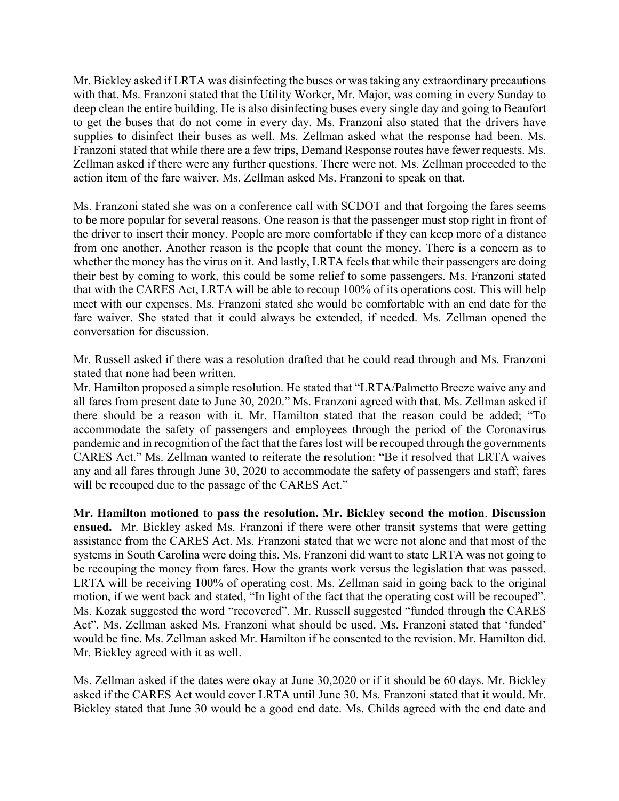Mr. Bickley asked if LRTA was disinfecting the buses or was taking any extraordinary precautions with that. Ms. Franzoni stated that the Utility Worker, Mr. Major, was coming in every Sunday to deep clean the entire building. He is also disinfecting buses every single day and going to Beaufort to get the buses that do not come in every day. Ms. Franzoni also stated that the drivers have supplies to disinfect their buses as well. Ms. Zellman asked what the response had been. Ms. Franzoni stated that while there are a few trips, Demand Response routes have fewer requests. Ms. Zellman asked if there were any further questions. There were not. Ms. Zellman proceeded to the action item of the fare waiver. Ms. Zellman asked Ms. Franzoni to speak on that.

Ms. Franzoni stated she was on a conference call with SCDOT and that forgoing the fares seems to be more popular for several reasons. One reason is that the passenger must stop right in front of the driver to insert their money. People are more comfortable if they can keep more of a distance from one another. Another reason is the people that count the money. There is a concern as to whether the money has the virus on it. And lastly, LRTA feels that while their passengers are doing their best by coming to work, this could be some relief to some passengers. Ms. Franzoni stated that with the CARES Act, LRTA will be able to recoup 100% of its operations cost. This will help meet with our expenses. Ms. Franzoni stated she would be comfortable with an end date for the fare waiver. She stated that it could always be extended, if needed. Ms. Zellman opened the conversation for discussion.

Mr. Russell asked if there was a resolution drafted that he could read through and Ms. Franzoni stated that none had been written.

Mr. Hamilton proposed a simple resolution. He stated that "LRTA/Palmetto Breeze waive any and all fares from present date to June 30, 2020." Ms. Franzoni agreed with that. Ms. Zellman asked if there should be a reason with it. Mr. Hamilton stated that the reason could be added; "To accommodate the safety of passengers and employees through the period of the Coronavirus pandemic and in recognition of the fact that the fares lost will be recouped through the governments CARES Act." Ms. Zellman wanted to reiterate the resolution: "Be it resolved that LRTA waives any and all fares through June 30, 2020 to accommodate the safety of passengers and staff; fares will be recouped due to the passage of the CARES Act."

**Mr. Hamilton motioned to pass the resolution. Mr. Bickley second the motion**. **Discussion ensued.** Mr. Bickley asked Ms. Franzoni if there were other transit systems that were getting assistance from the CARES Act. Ms. Franzoni stated that we were not alone and that most of the systems in South Carolina were doing this. Ms. Franzoni did want to state LRTA was not going to be recouping the money from fares. How the grants work versus the legislation that was passed, LRTA will be receiving 100% of operating cost. Ms. Zellman said in going back to the original motion, if we went back and stated, "In light of the fact that the operating cost will be recouped". Ms. Kozak suggested the word "recovered". Mr. Russell suggested "funded through the CARES Act". Ms. Zellman asked Ms. Franzoni what should be used. Ms. Franzoni stated that 'funded' would be fine. Ms. Zellman asked Mr. Hamilton if he consented to the revision. Mr. Hamilton did. Mr. Bickley agreed with it as well.

Ms. Zellman asked if the dates were okay at June 30,2020 or if it should be 60 days. Mr. Bickley asked if the CARES Act would cover LRTA until June 30. Ms. Franzoni stated that it would. Mr. Bickley stated that June 30 would be a good end date. Ms. Childs agreed with the end date and